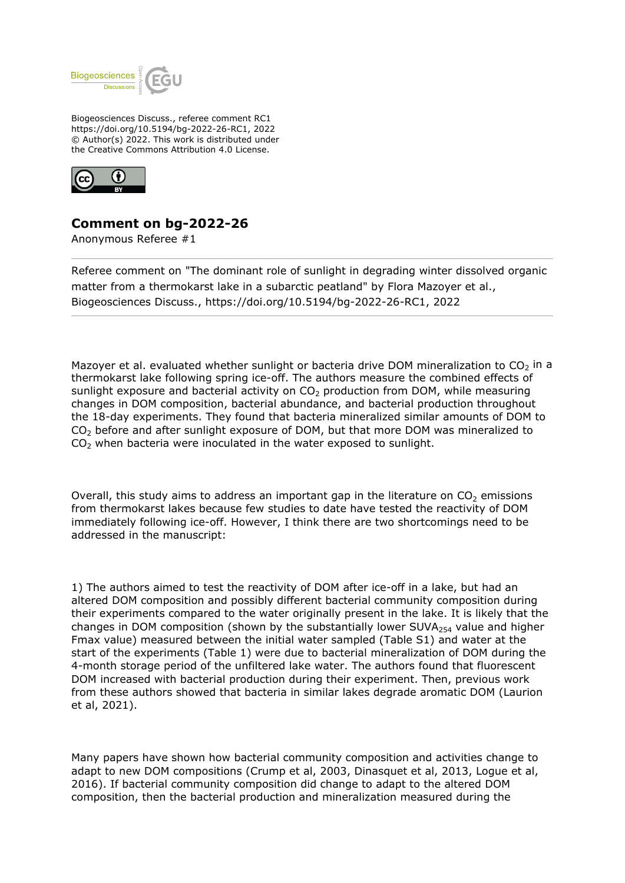

Biogeosciences Discuss., referee comment RC1 https://doi.org/10.5194/bg-2022-26-RC1, 2022 © Author(s) 2022. This work is distributed under the Creative Commons Attribution 4.0 License.



## **Comment on bg-2022-26**

Anonymous Referee #1

Referee comment on "The dominant role of sunlight in degrading winter dissolved organic matter from a thermokarst lake in a subarctic peatland" by Flora Mazoyer et al., Biogeosciences Discuss., https://doi.org/10.5194/bg-2022-26-RC1, 2022

Mazover et al. evaluated whether sunlight or bacteria drive DOM mineralization to  $CO<sub>2</sub>$  in a thermokarst lake following spring ice-off. The authors measure the combined effects of sunlight exposure and bacterial activity on  $CO<sub>2</sub>$  production from DOM, while measuring changes in DOM composition, bacterial abundance, and bacterial production throughout the 18-day experiments. They found that bacteria mineralized similar amounts of DOM to  $CO<sub>2</sub>$  before and after sunlight exposure of DOM, but that more DOM was mineralized to  $CO<sub>2</sub>$  when bacteria were inoculated in the water exposed to sunlight.

Overall, this study aims to address an important gap in the literature on  $CO<sub>2</sub>$  emissions from thermokarst lakes because few studies to date have tested the reactivity of DOM immediately following ice-off. However, I think there are two shortcomings need to be addressed in the manuscript:

1) The authors aimed to test the reactivity of DOM after ice-off in a lake, but had an altered DOM composition and possibly different bacterial community composition during their experiments compared to the water originally present in the lake. It is likely that the changes in DOM composition (shown by the substantially lower SUVA $_{254}$  value and higher Fmax value) measured between the initial water sampled (Table S1) and water at the start of the experiments (Table 1) were due to bacterial mineralization of DOM during the 4-month storage period of the unfiltered lake water. The authors found that fluorescent DOM increased with bacterial production during their experiment. Then, previous work from these authors showed that bacteria in similar lakes degrade aromatic DOM (Laurion et al, 2021).

Many papers have shown how bacterial community composition and activities change to adapt to new DOM compositions (Crump et al, 2003, Dinasquet et al, 2013, Logue et al, 2016). If bacterial community composition did change to adapt to the altered DOM composition, then the bacterial production and mineralization measured during the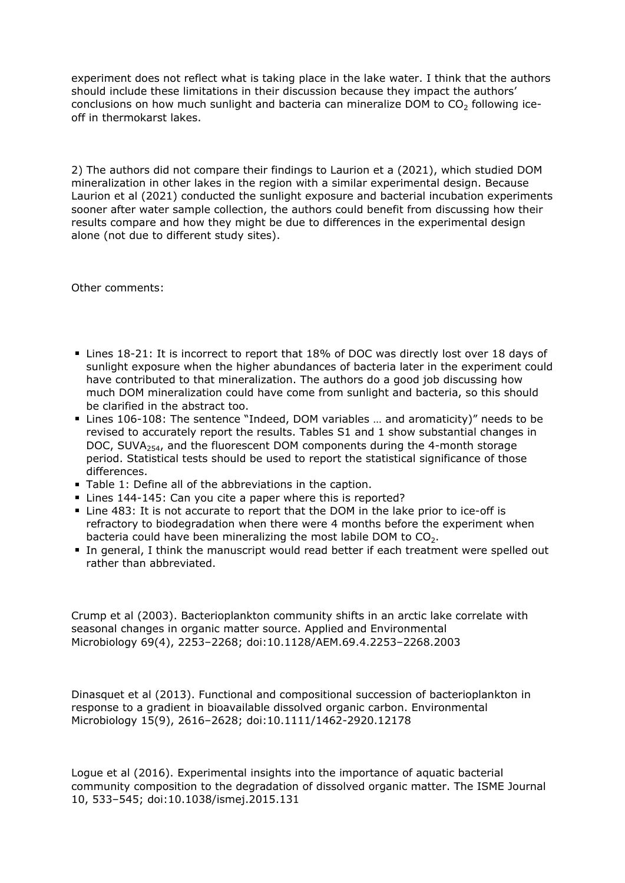experiment does not reflect what is taking place in the lake water. I think that the authors should include these limitations in their discussion because they impact the authors' conclusions on how much sunlight and bacteria can mineralize DOM to  $CO<sub>2</sub>$  following iceoff in thermokarst lakes.

2) The authors did not compare their findings to Laurion et a (2021), which studied DOM mineralization in other lakes in the region with a similar experimental design. Because Laurion et al (2021) conducted the sunlight exposure and bacterial incubation experiments sooner after water sample collection, the authors could benefit from discussing how their results compare and how they might be due to differences in the experimental design alone (not due to different study sites).

Other comments:

- Lines 18-21: It is incorrect to report that 18% of DOC was directly lost over 18 days of sunlight exposure when the higher abundances of bacteria later in the experiment could have contributed to that mineralization. The authors do a good job discussing how much DOM mineralization could have come from sunlight and bacteria, so this should be clarified in the abstract too.
- Lines 106-108: The sentence "Indeed, DOM variables … and aromaticity)" needs to be revised to accurately report the results. Tables S1 and 1 show substantial changes in DOC, SUVA $_{254}$ , and the fluorescent DOM components during the 4-month storage period. Statistical tests should be used to report the statistical significance of those differences.
- Table 1: Define all of the abbreviations in the caption.
- Lines 144-145: Can you cite a paper where this is reported?
- Line 483: It is not accurate to report that the DOM in the lake prior to ice-off is refractory to biodegradation when there were 4 months before the experiment when bacteria could have been mineralizing the most labile DOM to  $CO<sub>2</sub>$ .
- In general, I think the manuscript would read better if each treatment were spelled out rather than abbreviated.

Crump et al (2003). Bacterioplankton community shifts in an arctic lake correlate with seasonal changes in organic matter source. Applied and Environmental Microbiology 69(4), 2253–2268; doi:10.1128/AEM.69.4.2253–2268.2003

Dinasquet et al (2013). Functional and compositional succession of bacterioplankton in response to a gradient in bioavailable dissolved organic carbon. Environmental Microbiology 15(9), 2616–2628; doi:10.1111/1462-2920.12178

Logue et al (2016). Experimental insights into the importance of aquatic bacterial community composition to the degradation of dissolved organic matter. The ISME Journal 10, 533–545; doi:10.1038/ismej.2015.131